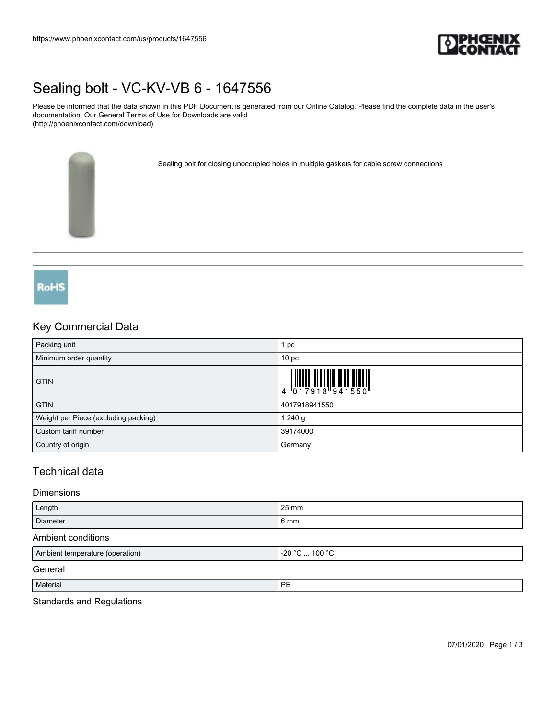

# [Sealing bolt - VC-KV-VB 6 - 1647556](https://www.phoenixcontact.com/us/products/1647556)

Please be informed that the data shown in this PDF Document is generated from our Online Catalog. Please find the complete data in the user's documentation. Our General Terms of Use for Downloads are valid (http://phoenixcontact.com/download)

Sealing bolt for closing unoccupied holes in multiple gaskets for cable screw connections



## Key Commercial Data

| Packing unit                         | pc                                                                                                                                                                                                                                                                                                                       |
|--------------------------------------|--------------------------------------------------------------------------------------------------------------------------------------------------------------------------------------------------------------------------------------------------------------------------------------------------------------------------|
| Minimum order quantity               | 10 <sub>p</sub>                                                                                                                                                                                                                                                                                                          |
| <b>GTIN</b>                          | $\begin{array}{c} 1 & 0 & 0 & 0 \\ 0 & 1 & 7 & 9 & 1 & 8 \\ 0 & 0 & 1 & 0 & 1 & 1 \\ 0 & 0 & 0 & 0 & 0 & 1 & 1 \\ 0 & 0 & 0 & 0 & 0 & 0 & 0 \\ 0 & 0 & 0 & 0 & 0 & 0 & 0 \\ 0 & 0 & 0 & 0 & 0 & 0 & 0 \\ 0 & 0 & 0 & 0 & 0 & 0 & 0 & 0 \\ 0 & 0 & 0 & 0 & 0 & 0 & 0 & 0 \\ 0 & 0 & 0 & 0 & 0 & 0 & 0 & 0 \\ 0 & 0 & 0 &$ |
| <b>GTIN</b>                          | 4017918941550                                                                                                                                                                                                                                                                                                            |
| Weight per Piece (excluding packing) | 1.240 g                                                                                                                                                                                                                                                                                                                  |
| Custom tariff number                 | 39174000                                                                                                                                                                                                                                                                                                                 |
| Country of origin                    | Germany                                                                                                                                                                                                                                                                                                                  |

# Technical data

#### Dimensions

| Length   | 25 mm |
|----------|-------|
| Diameter | 6 mm  |

#### Ambient conditions

| Ambient temperature (operation) | $-20 °C$ 100 °C |
|---------------------------------|-----------------|
| General                         |                 |
| Material                        | PE              |

#### Standards and Regulations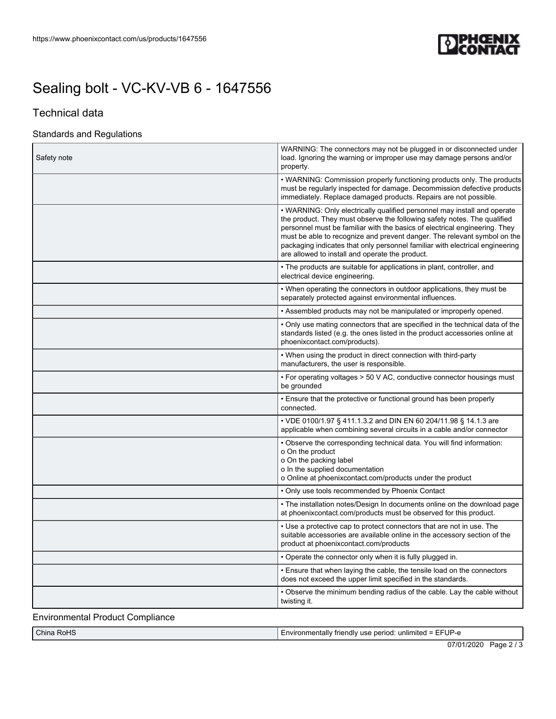

# [Sealing bolt - VC-KV-VB 6 - 1647556](https://www.phoenixcontact.com/us/products/1647556)

# Technical data

### Standards and Regulations

| Safety note                 | WARNING: The connectors may not be plugged in or disconnected under<br>load. Ignoring the warning or improper use may damage persons and/or<br>property.                                                                                                                                                                                                                                                                                          |
|-----------------------------|---------------------------------------------------------------------------------------------------------------------------------------------------------------------------------------------------------------------------------------------------------------------------------------------------------------------------------------------------------------------------------------------------------------------------------------------------|
|                             | • WARNING: Commission properly functioning products only. The products<br>must be regularly inspected for damage. Decommission defective products<br>immediately. Replace damaged products. Repairs are not possible.                                                                                                                                                                                                                             |
|                             | • WARNING: Only electrically qualified personnel may install and operate<br>the product. They must observe the following safety notes. The qualified<br>personnel must be familiar with the basics of electrical engineering. They<br>must be able to recognize and prevent danger. The relevant symbol on the<br>packaging indicates that only personnel familiar with electrical engineering<br>are allowed to install and operate the product. |
|                             | • The products are suitable for applications in plant, controller, and<br>electrical device engineering.                                                                                                                                                                                                                                                                                                                                          |
|                             | • When operating the connectors in outdoor applications, they must be<br>separately protected against environmental influences.                                                                                                                                                                                                                                                                                                                   |
|                             | . Assembled products may not be manipulated or improperly opened.                                                                                                                                                                                                                                                                                                                                                                                 |
|                             | • Only use mating connectors that are specified in the technical data of the<br>standards listed (e.g. the ones listed in the product accessories online at<br>phoenixcontact.com/products).                                                                                                                                                                                                                                                      |
|                             | • When using the product in direct connection with third-party<br>manufacturers, the user is responsible.                                                                                                                                                                                                                                                                                                                                         |
|                             | • For operating voltages > 50 V AC, conductive connector housings must<br>be grounded                                                                                                                                                                                                                                                                                                                                                             |
|                             | • Ensure that the protective or functional ground has been properly<br>connected.                                                                                                                                                                                                                                                                                                                                                                 |
|                             | • VDE 0100/1.97 § 411.1.3.2 and DIN EN 60 204/11.98 § 14.1.3 are<br>applicable when combining several circuits in a cable and/or connector                                                                                                                                                                                                                                                                                                        |
|                             | . Observe the corresponding technical data. You will find information:<br>o On the product<br>o On the packing label<br>o In the supplied documentation<br>o Online at phoenixcontact.com/products under the product                                                                                                                                                                                                                              |
|                             | • Only use tools recommended by Phoenix Contact                                                                                                                                                                                                                                                                                                                                                                                                   |
|                             | • The installation notes/Design In documents online on the download page<br>at phoenixcontact.com/products must be observed for this product.                                                                                                                                                                                                                                                                                                     |
|                             | • Use a protective cap to protect connectors that are not in use. The<br>suitable accessories are available online in the accessory section of the<br>product at phoenixcontact.com/products                                                                                                                                                                                                                                                      |
|                             | • Operate the connector only when it is fully plugged in.                                                                                                                                                                                                                                                                                                                                                                                         |
|                             | • Ensure that when laying the cable, the tensile load on the connectors<br>does not exceed the upper limit specified in the standards.                                                                                                                                                                                                                                                                                                            |
|                             | • Observe the minimum bending radius of the cable. Lay the cable without<br>twisting it.                                                                                                                                                                                                                                                                                                                                                          |
| فالمتحدث والمستحدث والملحوم |                                                                                                                                                                                                                                                                                                                                                                                                                                                   |

Environmental Product Compliance

| $\overline{\phantom{0}}$<br>$\overline{1}$<br>$\sim$<br>China<br>NoH∵ ا<br>________ | UP.<br>nvironmentaliv<br>unlimited<br>ndlv<br>use<br>erioc<br>-шь<br>-<br>$\mathbf{H}$<br>_____ |
|-------------------------------------------------------------------------------------|-------------------------------------------------------------------------------------------------|
|                                                                                     | $-10110$<br>--                                                                                  |